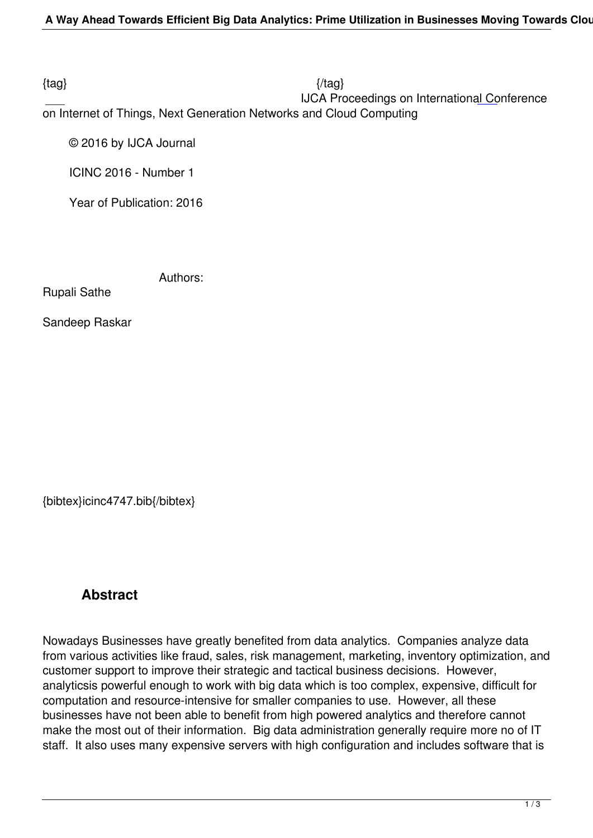$\{tag\}$ 

 IJCA Proceedings on International Conference on Internet of Things, Next Generation Networks and Cloud Computing

© 2016 by IJCA Journal

ICINC 2016 - Number 1

Year of Publication: 2016

Authors:

Rupali Sathe

Sandeep Raskar

{bibtex}icinc4747.bib{/bibtex}

## **Abstract**

Nowadays Businesses have greatly benefited from data analytics. Companies analyze data from various activities like fraud, sales, risk management, marketing, inventory optimization, and customer support to improve their strategic and tactical business decisions. However, analyticsis powerful enough to work with big data which is too complex, expensive, difficult for computation and resource-intensive for smaller companies to use. However, all these businesses have not been able to benefit from high powered analytics and therefore cannot make the most out of their information. Big data administration generally require more no of IT staff. It also uses many expensive servers with high configuration and includes software that is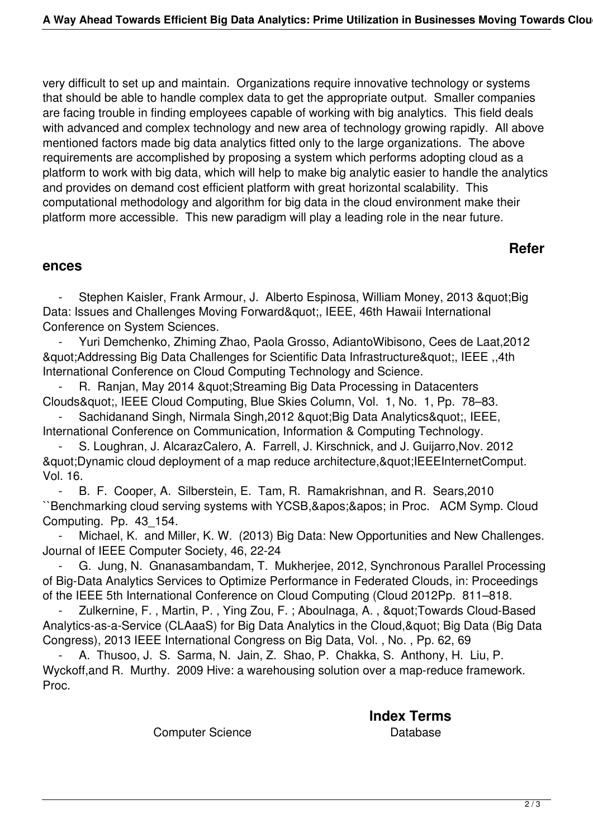very difficult to set up and maintain. Organizations require innovative technology or systems that should be able to handle complex data to get the appropriate output. Smaller companies are facing trouble in finding employees capable of working with big analytics. This field deals with advanced and complex technology and new area of technology growing rapidly. All above mentioned factors made big data analytics fitted only to the large organizations. The above requirements are accomplished by proposing a system which performs adopting cloud as a platform to work with big data, which will help to make big analytic easier to handle the analytics and provides on demand cost efficient platform with great horizontal scalability. This computational methodology and algorithm for big data in the cloud environment make their platform more accessible. This new paradigm will play a leading role in the near future.

## **Refer**

## **ences**

Stephen Kaisler, Frank Armour, J. Alberto Espinosa, William Money, 2013 " Big Data: Issues and Challenges Moving Forward", IEEE, 46th Hawaii International Conference on System Sciences.

 - Yuri Demchenko, Zhiming Zhao, Paola Grosso, AdiantoWibisono, Cees de Laat,2012 "Addressing Big Data Challenges for Scientific Data Infrastructure", IEEE ,,4th International Conference on Cloud Computing Technology and Science.

R. Ranjan, May 2014 & guot; Streaming Big Data Processing in Datacenters Clouds", IEEE Cloud Computing, Blue Skies Column, Vol. 1, No. 1, Pp. 78-83.

Sachidanand Singh, Nirmala Singh, 2012 & quot; Big Data Analytics & quot;, IEEE, International Conference on Communication, Information & Computing Technology.

 - S. Loughran, J. AlcarazCalero, A. Farrell, J. Kirschnick, and J. Guijarro,Nov. 2012 & quot; Dynamic cloud deployment of a map reduce architecture, & quot; IEEEInternet Comput. Vol. 16.

 - B. F. Cooper, A. Silberstein, E. Tam, R. Ramakrishnan, and R. Sears,2010 ``Benchmarking cloud serving systems with YCSB,'' in Proc. ACM Symp. Cloud Computing. Pp. 43\_154.

Michael, K. and Miller, K. W. (2013) Big Data: New Opportunities and New Challenges. Journal of IEEE Computer Society, 46, 22-24

G. Jung, N. Gnanasambandam, T. Mukherjee, 2012, Synchronous Parallel Processing of Big-Data Analytics Services to Optimize Performance in Federated Clouds, in: Proceedings of the IEEE 5th International Conference on Cloud Computing (Cloud 2012Pp. 811–818.

Zulkernine, F., Martin, P., Ying Zou, F.; Aboulnaga, A., " Towards Cloud-Based Analytics-as-a-Service (CLAaaS) for Big Data Analytics in the Cloud, & quot; Big Data (Big Data Congress), 2013 IEEE International Congress on Big Data, Vol. , No. , Pp. 62, 69

A. Thusoo, J. S. Sarma, N. Jain, Z. Shao, P. Chakka, S. Anthony, H. Liu, P. Wyckoff,and R. Murthy. 2009 Hive: a warehousing solution over a map-reduce framework. Proc.

**Index Terms** 

Computer Science **Database** Database